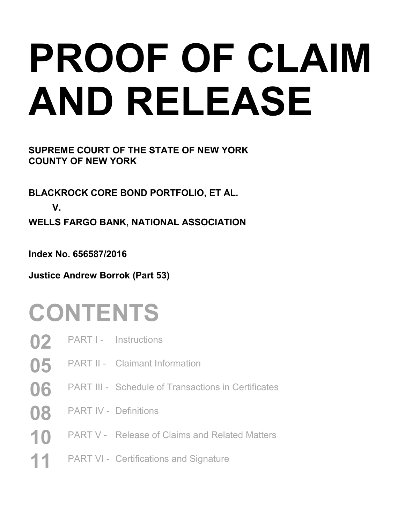# **PROOF OF CLAIM AND RELEASE**

**SUPREME COURT OF THE STATE OF NEW YORK COUNTY OF NEW YORK** 

**BLACKROCK CORE BOND PORTFOLIO, ET AL. V. WELLS FARGO BANK, NATIONAL ASSOCIATION** 

**Index No. 656587/2016** 

**Justice Andrew Borrok (Part 53)** 

## **CONTENTS**

- **02** PART I Instructions
- **05** PART II Claimant Information
- **06** PART III Schedule of Transactions in Certificates
- **08** PART IV Definitions
- 10 PART V Release of Claims and Related Matters
- 11 PART VI Certifications and Signature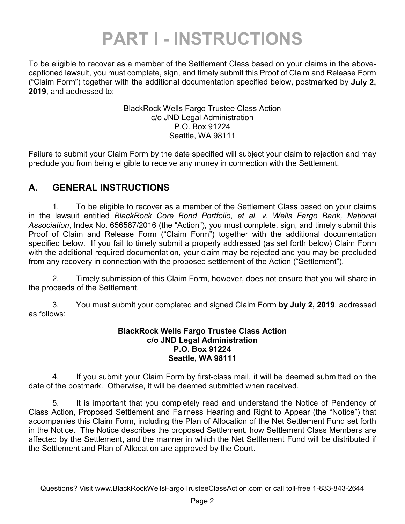### **PART I - INSTRUCTIONS**

To be eligible to recover as a member of the Settlement Class based on your claims in the abovecaptioned lawsuit, you must complete, sign, and timely submit this Proof of Claim and Release Form ("Claim Form") together with the additional documentation specified below, postmarked by **July 2, 2019**, and addressed to:

> BlackRock Wells Fargo Trustee Class Action c/o JND Legal Administration P.O. Box 91224 Seattle, WA 98111

Failure to submit your Claim Form by the date specified will subject your claim to rejection and may preclude you from being eligible to receive any money in connection with the Settlement.

### **A. GENERAL INSTRUCTIONS**

1. To be eligible to recover as a member of the Settlement Class based on your claims in the lawsuit entitled *BlackRock Core Bond Portfolio, et al. v. Wells Fargo Bank, National Association*, Index No. 656587/2016 (the "Action"), you must complete, sign, and timely submit this Proof of Claim and Release Form ("Claim Form") together with the additional documentation specified below. If you fail to timely submit a properly addressed (as set forth below) Claim Form with the additional required documentation, your claim may be rejected and you may be precluded from any recovery in connection with the proposed settlement of the Action ("Settlement").

2. Timely submission of this Claim Form, however, does not ensure that you will share in the proceeds of the Settlement.

3. You must submit your completed and signed Claim Form **by July 2, 2019**, addressed as follows:

#### **BlackRock Wells Fargo Trustee Class Action c/o JND Legal Administration P.O. Box 91224 Seattle, WA 98111**

4. If you submit your Claim Form by first-class mail, it will be deemed submitted on the date of the postmark. Otherwise, it will be deemed submitted when received.

5. It is important that you completely read and understand the Notice of Pendency of Class Action, Proposed Settlement and Fairness Hearing and Right to Appear (the "Notice") that accompanies this Claim Form, including the Plan of Allocation of the Net Settlement Fund set forth in the Notice. The Notice describes the proposed Settlement, how Settlement Class Members are affected by the Settlement, and the manner in which the Net Settlement Fund will be distributed if the Settlement and Plan of Allocation are approved by the Court.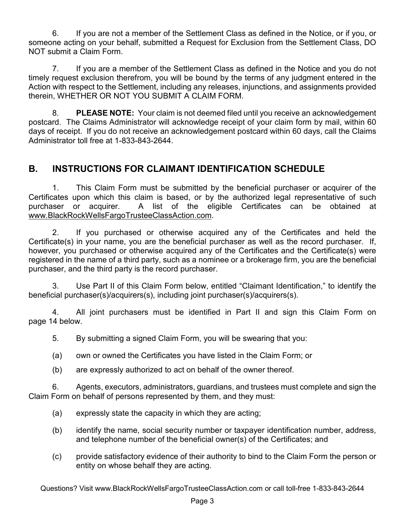6. If you are not a member of the Settlement Class as defined in the Notice, or if you, or someone acting on your behalf, submitted a Request for Exclusion from the Settlement Class, DO NOT submit a Claim Form.

7. If you are a member of the Settlement Class as defined in the Notice and you do not timely request exclusion therefrom, you will be bound by the terms of any judgment entered in the Action with respect to the Settlement, including any releases, injunctions, and assignments provided therein, WHETHER OR NOT YOU SUBMIT A CLAIM FORM.

8. **PLEASE NOTE:** Your claim is not deemed filed until you receive an acknowledgement postcard. The Claims Administrator will acknowledge receipt of your claim form by mail, within 60 days of receipt. If you do not receive an acknowledgement postcard within 60 days, call the Claims Administrator toll free at 1-833-843-2644.

### **B. INSTRUCTIONS FOR CLAIMANT IDENTIFICATION SCHEDULE**

1. This Claim Form must be submitted by the beneficial purchaser or acquirer of the Certificates upon which this claim is based, or by the authorized legal representative of such purchaser or acquirer. A list of the eligible Certificates can be obtained at www.BlackRockWellsFargoTrusteeClassAction.com.

2. If you purchased or otherwise acquired any of the Certificates and held the Certificate(s) in your name, you are the beneficial purchaser as well as the record purchaser. If, however, you purchased or otherwise acquired any of the Certificates and the Certificate(s) were registered in the name of a third party, such as a nominee or a brokerage firm, you are the beneficial purchaser, and the third party is the record purchaser.

3. Use Part II of this Claim Form below, entitled "Claimant Identification," to identify the beneficial purchaser(s)/acquirers(s), including joint purchaser(s)/acquirers(s).

4. All joint purchasers must be identified in Part II and sign this Claim Form on page 14 below.

5. By submitting a signed Claim Form, you will be swearing that you:

- (a) own or owned the Certificates you have listed in the Claim Form; or
- (b) are expressly authorized to act on behalf of the owner thereof.

6. Agents, executors, administrators, guardians, and trustees must complete and sign the Claim Form on behalf of persons represented by them, and they must:

- (a) expressly state the capacity in which they are acting;
- (b) identify the name, social security number or taxpayer identification number, address, and telephone number of the beneficial owner(s) of the Certificates; and
- (c) provide satisfactory evidence of their authority to bind to the Claim Form the person or entity on whose behalf they are acting.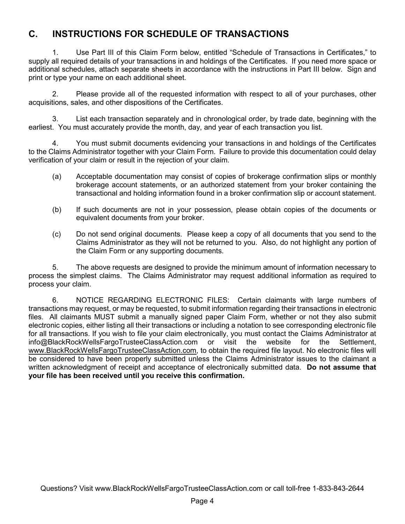### **C. INSTRUCTIONS FOR SCHEDULE OF TRANSACTIONS**

1. Use Part III of this Claim Form below, entitled "Schedule of Transactions in Certificates," to supply all required details of your transactions in and holdings of the Certificates. If you need more space or additional schedules, attach separate sheets in accordance with the instructions in Part III below. Sign and print or type your name on each additional sheet.

2. Please provide all of the requested information with respect to all of your purchases, other acquisitions, sales, and other dispositions of the Certificates.

3. List each transaction separately and in chronological order, by trade date, beginning with the earliest. You must accurately provide the month, day, and year of each transaction you list.

4. You must submit documents evidencing your transactions in and holdings of the Certificates to the Claims Administrator together with your Claim Form. Failure to provide this documentation could delay verification of your claim or result in the rejection of your claim.

- (a) Acceptable documentation may consist of copies of brokerage confirmation slips or monthly brokerage account statements, or an authorized statement from your broker containing the transactional and holding information found in a broker confirmation slip or account statement.
- (b) If such documents are not in your possession, please obtain copies of the documents or equivalent documents from your broker.
- (c) Do not send original documents. Please keep a copy of all documents that you send to the Claims Administrator as they will not be returned to you. Also, do not highlight any portion of the Claim Form or any supporting documents.

5. The above requests are designed to provide the minimum amount of information necessary to process the simplest claims. The Claims Administrator may request additional information as required to process your claim.

6. NOTICE REGARDING ELECTRONIC FILES: Certain claimants with large numbers of transactions may request, or may be requested, to submit information regarding their transactions in electronic files. All claimants MUST submit a manually signed paper Claim Form, whether or not they also submit electronic copies, either listing all their transactions or including a notation to see corresponding electronic file for all transactions. If you wish to file your claim electronically, you must contact the Claims Administrator at info@BlackRockWellsFargoTrusteeClassAction.com or visit the website for the Settlement, www.BlackRockWellsFargoTrusteeClassAction.com, to obtain the required file layout. No electronic files will be considered to have been properly submitted unless the Claims Administrator issues to the claimant a written acknowledgment of receipt and acceptance of electronically submitted data. **Do not assume that your file has been received until you receive this confirmation.**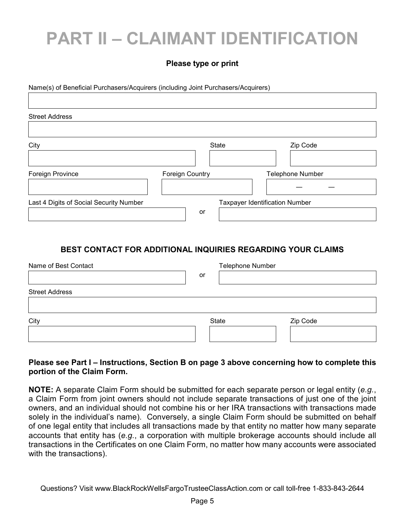### **PART II – CLAIMANT IDENTIFICATION**

#### **Please type or print**

Name(s) of Beneficial Purchasers/Acquirers (including Joint Purchasers/Acquirers)

| <b>Street Address</b>                   |                                       |                         |
|-----------------------------------------|---------------------------------------|-------------------------|
| City                                    | <b>State</b>                          | Zip Code                |
|                                         |                                       |                         |
| Foreign Province                        | <b>Foreign Country</b>                | <b>Telephone Number</b> |
|                                         |                                       |                         |
| Last 4 Digits of Social Security Number | <b>Taxpayer Identification Number</b> |                         |
|                                         | or                                    |                         |

### **BEST CONTACT FOR ADDITIONAL INQUIRIES REGARDING YOUR CLAIMS**

| Name of Best Contact  | Telephone Number |          |
|-----------------------|------------------|----------|
|                       | or               |          |
| <b>Street Address</b> |                  |          |
|                       |                  |          |
| City                  | State            | Zip Code |
|                       |                  |          |

#### **Please see Part I – Instructions, Section B on page 3 above concerning how to complete this portion of the Claim Form.**

**NOTE:** A separate Claim Form should be submitted for each separate person or legal entity (*e.g.*, a Claim Form from joint owners should not include separate transactions of just one of the joint owners, and an individual should not combine his or her IRA transactions with transactions made solely in the individual's name). Conversely, a single Claim Form should be submitted on behalf of one legal entity that includes all transactions made by that entity no matter how many separate accounts that entity has (*e.g.*, a corporation with multiple brokerage accounts should include all transactions in the Certificates on one Claim Form, no matter how many accounts were associated with the transactions).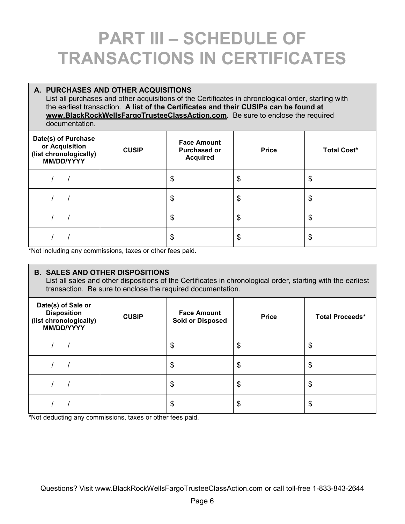### **PART III – SCHEDULE OF TRANSACTIONS IN CERTIFICATES**

#### **A. PURCHASES AND OTHER ACQUISITIONS**  List all purchases and other acquisitions of the Certificates in chronological order, starting with the earliest transaction. **A list of the Certificates and their CUSIPs can be found at www.BlackRockWellsFargoTrusteeClassAction.com.** Be sure to enclose the required documentation. **Date(s) of Purchase or Acquisition (list chronologically) MM/DD/YYYY CUSIP Face Amount Purchased or Acquired**  Price **Total Cost\*** / / / | | | \$ | \$ | \$ / / / | | | \$ | \$ | \$ / / / | | | \$ | \$ | \$ / / / | | | \$ | \$ | \$

Not including any commissions, taxes or other fees paid.

#### **B. SALES AND OTHER DISPOSITIONS**

List all sales and other dispositions of the Certificates in chronological order, starting with the earliest transaction. Be sure to enclose the required documentation.

| Date(s) of Sale or<br><b>Disposition</b><br>(list chronologically)<br>MM/DD/YYYY | <b>CUSIP</b> | <b>Face Amount</b><br><b>Sold or Disposed</b> | <b>Price</b> | <b>Total Proceeds*</b> |
|----------------------------------------------------------------------------------|--------------|-----------------------------------------------|--------------|------------------------|
|                                                                                  |              | \$                                            | \$           | \$                     |
|                                                                                  |              | \$                                            | \$           | \$                     |
|                                                                                  |              | \$                                            | \$           | \$                     |
|                                                                                  |              | \$                                            | \$           | \$                     |

\*Not deducting any commissions, taxes or other fees paid.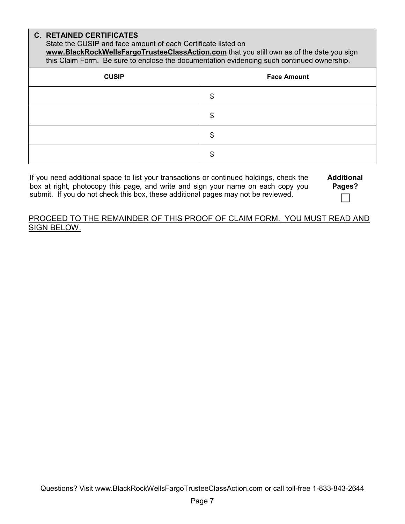### **C. RETAINED CERTIFICATES**

State the CUSIP and face amount of each Certificate listed on

**www.BlackRockWellsFargoTrusteeClassAction.com** that you still own as of the date you sign this Claim Form. Be sure to enclose the documentation evidencing such continued ownership.

| <b>CUSIP</b> | <b>Face Amount</b> |
|--------------|--------------------|
|              | \$                 |
|              | \$                 |
|              | œ<br>Φ             |
|              | \$                 |

If you need additional space to list your transactions or continued holdings, check the box at right, photocopy this page, and write and sign your name on each copy you submit. If you do not check this box, these additional pages may not be reviewed.

#### PROCEED TO THE REMAINDER OF THIS PROOF OF CLAIM FORM. YOU MUST READ AND SIGN BELOW.

**Additional Pages?**   $\Box$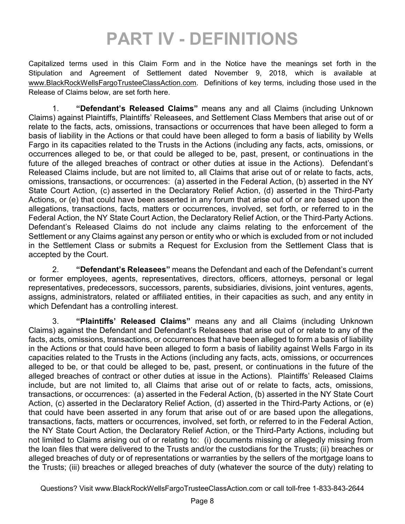### **PART IV - DEFINITIONS**

Capitalized terms used in this Claim Form and in the Notice have the meanings set forth in the Stipulation and Agreement of Settlement dated November 9, 2018, which is available at www.BlackRockWellsFargoTrusteeClassAction.com. Definitions of key terms, including those used in the Release of Claims below, are set forth here.

1. **"Defendant's Released Claims"** means any and all Claims (including Unknown Claims) against Plaintiffs, Plaintiffs' Releasees, and Settlement Class Members that arise out of or relate to the facts, acts, omissions, transactions or occurrences that have been alleged to form a basis of liability in the Actions or that could have been alleged to form a basis of liability by Wells Fargo in its capacities related to the Trusts in the Actions (including any facts, acts, omissions, or occurrences alleged to be, or that could be alleged to be, past, present, or continuations in the future of the alleged breaches of contract or other duties at issue in the Actions). Defendant's Released Claims include, but are not limited to, all Claims that arise out of or relate to facts, acts, omissions, transactions, or occurrences: (a) asserted in the Federal Action, (b) asserted in the NY State Court Action, (c) asserted in the Declaratory Relief Action, (d) asserted in the Third-Party Actions, or (e) that could have been asserted in any forum that arise out of or are based upon the allegations, transactions, facts, matters or occurrences, involved, set forth, or referred to in the Federal Action, the NY State Court Action, the Declaratory Relief Action, or the Third-Party Actions. Defendant's Released Claims do not include any claims relating to the enforcement of the Settlement or any Claims against any person or entity who or which is excluded from or not included in the Settlement Class or submits a Request for Exclusion from the Settlement Class that is accepted by the Court.

2. **"Defendant's Releasees"** means the Defendant and each of the Defendant's current or former employees, agents, representatives, directors, officers, attorneys, personal or legal representatives, predecessors, successors, parents, subsidiaries, divisions, joint ventures, agents, assigns, administrators, related or affiliated entities, in their capacities as such, and any entity in which Defendant has a controlling interest.

3. **"Plaintiffs' Released Claims"** means any and all Claims (including Unknown Claims) against the Defendant and Defendant's Releasees that arise out of or relate to any of the facts, acts, omissions, transactions, or occurrences that have been alleged to form a basis of liability in the Actions or that could have been alleged to form a basis of liability against Wells Fargo in its capacities related to the Trusts in the Actions (including any facts, acts, omissions, or occurrences alleged to be, or that could be alleged to be, past, present, or continuations in the future of the alleged breaches of contract or other duties at issue in the Actions). Plaintiffs' Released Claims include, but are not limited to, all Claims that arise out of or relate to facts, acts, omissions, transactions, or occurrences: (a) asserted in the Federal Action, (b) asserted in the NY State Court Action, (c) asserted in the Declaratory Relief Action, (d) asserted in the Third-Party Actions, or (e) that could have been asserted in any forum that arise out of or are based upon the allegations, transactions, facts, matters or occurrences, involved, set forth, or referred to in the Federal Action, the NY State Court Action, the Declaratory Relief Action, or the Third-Party Actions, including but not limited to Claims arising out of or relating to: (i) documents missing or allegedly missing from the loan files that were delivered to the Trusts and/or the custodians for the Trusts; (ii) breaches or alleged breaches of duty or of representations or warranties by the sellers of the mortgage loans to the Trusts; (iii) breaches or alleged breaches of duty (whatever the source of the duty) relating to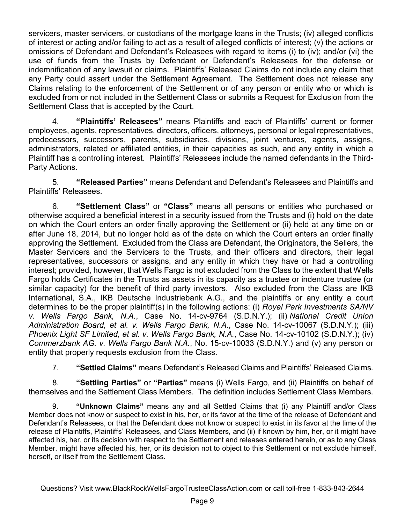servicers, master servicers, or custodians of the mortgage loans in the Trusts; (iv) alleged conflicts of interest or acting and/or failing to act as a result of alleged conflicts of interest; (v) the actions or omissions of Defendant and Defendant's Releasees with regard to items (i) to (iv); and/or (vi) the use of funds from the Trusts by Defendant or Defendant's Releasees for the defense or indemnification of any lawsuit or claims. Plaintiffs' Released Claims do not include any claim that any Party could assert under the Settlement Agreement. The Settlement does not release any Claims relating to the enforcement of the Settlement or of any person or entity who or which is excluded from or not included in the Settlement Class or submits a Request for Exclusion from the Settlement Class that is accepted by the Court.

4. **"Plaintiffs' Releasees"** means Plaintiffs and each of Plaintiffs' current or former employees, agents, representatives, directors, officers, attorneys, personal or legal representatives, predecessors, successors, parents, subsidiaries, divisions, joint ventures, agents, assigns, administrators, related or affiliated entities, in their capacities as such, and any entity in which a Plaintiff has a controlling interest. Plaintiffs' Releasees include the named defendants in the Third-Party Actions.

5. **"Released Parties"** means Defendant and Defendant's Releasees and Plaintiffs and Plaintiffs' Releasees.

6. **"Settlement Class"** or **"Class"** means all persons or entities who purchased or otherwise acquired a beneficial interest in a security issued from the Trusts and (i) hold on the date on which the Court enters an order finally approving the Settlement or (ii) held at any time on or after June 18, 2014, but no longer hold as of the date on which the Court enters an order finally approving the Settlement. Excluded from the Class are Defendant, the Originators, the Sellers, the Master Servicers and the Servicers to the Trusts, and their officers and directors, their legal representatives, successors or assigns, and any entity in which they have or had a controlling interest; provided, however, that Wells Fargo is not excluded from the Class to the extent that Wells Fargo holds Certificates in the Trusts as assets in its capacity as a trustee or indenture trustee (or similar capacity) for the benefit of third party investors. Also excluded from the Class are IKB International, S.A., IKB Deutsche Industriebank A.G., and the plaintiffs or any entity a court determines to be the proper plaintiff(s) in the following actions: (i) *Royal Park Investments SA/NV v. Wells Fargo Bank, N.A.*, Case No. 14-cv-9764 (S.D.N.Y.); (ii) *National Credit Union Administration Board, et al. v. Wells Fargo Bank, N.A*., Case No. 14-cv-10067 (S.D.N.Y.); (iii) *Phoenix Light SF Limited, et al. v. Wells Fargo Bank, N.A.*, Case No. 14-cv-10102 (S.D.N.Y.); (iv) *Commerzbank AG. v. Wells Fargo Bank N.A.*, No. 15-cv-10033 (S.D.N.Y.) and (v) any person or entity that properly requests exclusion from the Class.

7. **"Settled Claims"** means Defendant's Released Claims and Plaintiffs' Released Claims.

8. **"Settling Parties"** or **"Parties"** means (i) Wells Fargo, and (ii) Plaintiffs on behalf of themselves and the Settlement Class Members. The definition includes Settlement Class Members.

9. **"Unknown Claims"** means any and all Settled Claims that (i) any Plaintiff and/or Class Member does not know or suspect to exist in his, her, or its favor at the time of the release of Defendant and Defendant's Releasees, or that the Defendant does not know or suspect to exist in its favor at the time of the release of Plaintiffs, Plaintiffs' Releasees, and Class Members, and (ii) if known by him, her, or it might have affected his, her, or its decision with respect to the Settlement and releases entered herein, or as to any Class Member, might have affected his, her, or its decision not to object to this Settlement or not exclude himself, herself, or itself from the Settlement Class.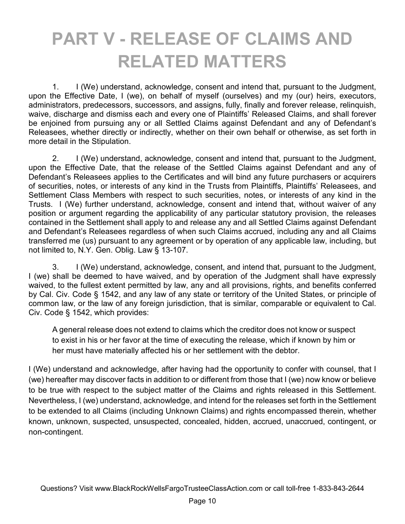### **PART V - RELEASE OF CLAIMS AND RELATED MATTERS**

1. I (We) understand, acknowledge, consent and intend that, pursuant to the Judgment, upon the Effective Date, I (we), on behalf of myself (ourselves) and my (our) heirs, executors, administrators, predecessors, successors, and assigns, fully, finally and forever release, relinquish, waive, discharge and dismiss each and every one of Plaintiffs' Released Claims, and shall forever be enjoined from pursuing any or all Settled Claims against Defendant and any of Defendant's Releasees, whether directly or indirectly, whether on their own behalf or otherwise, as set forth in more detail in the Stipulation.

2. I (We) understand, acknowledge, consent and intend that, pursuant to the Judgment, upon the Effective Date, that the release of the Settled Claims against Defendant and any of Defendant's Releasees applies to the Certificates and will bind any future purchasers or acquirers of securities, notes, or interests of any kind in the Trusts from Plaintiffs, Plaintiffs' Releasees, and Settlement Class Members with respect to such securities, notes, or interests of any kind in the Trusts. I (We) further understand, acknowledge, consent and intend that, without waiver of any position or argument regarding the applicability of any particular statutory provision, the releases contained in the Settlement shall apply to and release any and all Settled Claims against Defendant and Defendant's Releasees regardless of when such Claims accrued, including any and all Claims transferred me (us) pursuant to any agreement or by operation of any applicable law, including, but not limited to, N.Y. Gen. Oblig. Law § 13-107.

3. I (We) understand, acknowledge, consent, and intend that, pursuant to the Judgment, I (we) shall be deemed to have waived, and by operation of the Judgment shall have expressly waived, to the fullest extent permitted by law, any and all provisions, rights, and benefits conferred by Cal. Civ. Code § 1542, and any law of any state or territory of the United States, or principle of common law, or the law of any foreign jurisdiction, that is similar, comparable or equivalent to Cal. Civ. Code § 1542, which provides:

A general release does not extend to claims which the creditor does not know or suspect to exist in his or her favor at the time of executing the release, which if known by him or her must have materially affected his or her settlement with the debtor.

I (We) understand and acknowledge, after having had the opportunity to confer with counsel, that I (we) hereafter may discover facts in addition to or different from those that I (we) now know or believe to be true with respect to the subject matter of the Claims and rights released in this Settlement. Nevertheless, I (we) understand, acknowledge, and intend for the releases set forth in the Settlement to be extended to all Claims (including Unknown Claims) and rights encompassed therein, whether known, unknown, suspected, unsuspected, concealed, hidden, accrued, unaccrued, contingent, or non-contingent.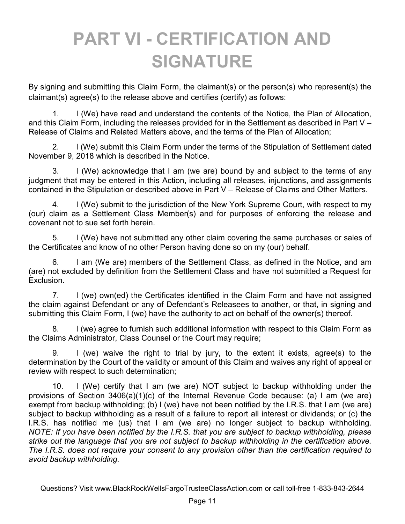### **PART VI - CERTIFICATION AND SIGNATURE**

By signing and submitting this Claim Form, the claimant(s) or the person(s) who represent(s) the claimant(s) agree(s) to the release above and certifies (certify) as follows:

1. I (We) have read and understand the contents of the Notice, the Plan of Allocation, and this Claim Form, including the releases provided for in the Settlement as described in Part V – Release of Claims and Related Matters above, and the terms of the Plan of Allocation;

2. I (We) submit this Claim Form under the terms of the Stipulation of Settlement dated November 9, 2018 which is described in the Notice.

3. I (We) acknowledge that I am (we are) bound by and subject to the terms of any judgment that may be entered in this Action, including all releases, injunctions, and assignments contained in the Stipulation or described above in Part V – Release of Claims and Other Matters.

4. I (We) submit to the jurisdiction of the New York Supreme Court, with respect to my (our) claim as a Settlement Class Member(s) and for purposes of enforcing the release and covenant not to sue set forth herein.

5. I (We) have not submitted any other claim covering the same purchases or sales of the Certificates and know of no other Person having done so on my (our) behalf.

6. I am (We are) members of the Settlement Class, as defined in the Notice, and am (are) not excluded by definition from the Settlement Class and have not submitted a Request for Exclusion.

7. I (we) own(ed) the Certificates identified in the Claim Form and have not assigned the claim against Defendant or any of Defendant's Releasees to another, or that, in signing and submitting this Claim Form, I (we) have the authority to act on behalf of the owner(s) thereof.

8. I (we) agree to furnish such additional information with respect to this Claim Form as the Claims Administrator, Class Counsel or the Court may require;

9. I (we) waive the right to trial by jury, to the extent it exists, agree(s) to the determination by the Court of the validity or amount of this Claim and waives any right of appeal or review with respect to such determination;

10. I (We) certify that I am (we are) NOT subject to backup withholding under the provisions of Section 3406(a)(1)(c) of the Internal Revenue Code because: (a) I am (we are) exempt from backup withholding; (b) I (we) have not been notified by the I.R.S. that I am (we are) subject to backup withholding as a result of a failure to report all interest or dividends; or (c) the I.R.S. has notified me (us) that I am (we are) no longer subject to backup withholding. *NOTE: If you have been notified by the I.R.S. that you are subject to backup withholding, please strike out the language that you are not subject to backup withholding in the certification above. The I.R.S. does not require your consent to any provision other than the certification required to avoid backup withholding.*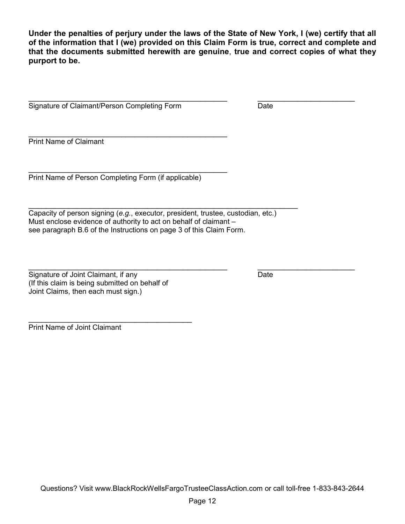**Under the penalties of perjury under the laws of the State of New York, I (we) certify that all of the information that I (we) provided on this Claim Form is true, correct and complete and that the documents submitted herewith are genuine**, **true and correct copies of what they purport to be.** 

 $\overline{\phantom{a}}$  , and the contribution of the contribution of the contribution of the contribution of the contribution of the contribution of the contribution of the contribution of the contribution of the contribution of the Signature of Claimant/Person Completing Form Date

Print Name of Claimant

Print Name of Person Completing Form (if applicable)

\_\_\_\_\_\_\_\_\_\_\_\_\_\_\_\_\_\_\_\_\_\_\_\_\_\_\_\_\_\_\_\_\_\_\_\_\_\_\_\_\_\_\_\_\_

\_\_\_\_\_\_\_\_\_\_\_\_\_\_\_\_\_\_\_\_\_\_\_\_\_\_\_\_\_\_\_\_\_\_\_\_\_\_\_\_\_\_\_\_\_

Capacity of person signing (*e.g.*, executor, president, trustee, custodian, etc.) Must enclose evidence of authority to act on behalf of claimant – see paragraph B.6 of the Instructions on page 3 of this Claim Form.

 $\overline{\phantom{a}}$  , and the contribution of the contribution of the contribution of the contribution of the contribution of the contribution of the contribution of the contribution of the contribution of the contribution of the

| Signature of Joint Claimant, if any            | Date |  |
|------------------------------------------------|------|--|
| (If this claim is being submitted on behalf of |      |  |
| Joint Claims, then each must sign.)            |      |  |

\_\_\_\_\_\_\_\_\_\_\_\_\_\_\_\_\_\_\_\_\_\_\_\_\_\_\_\_\_\_\_\_\_\_\_\_\_

Print Name of Joint Claimant